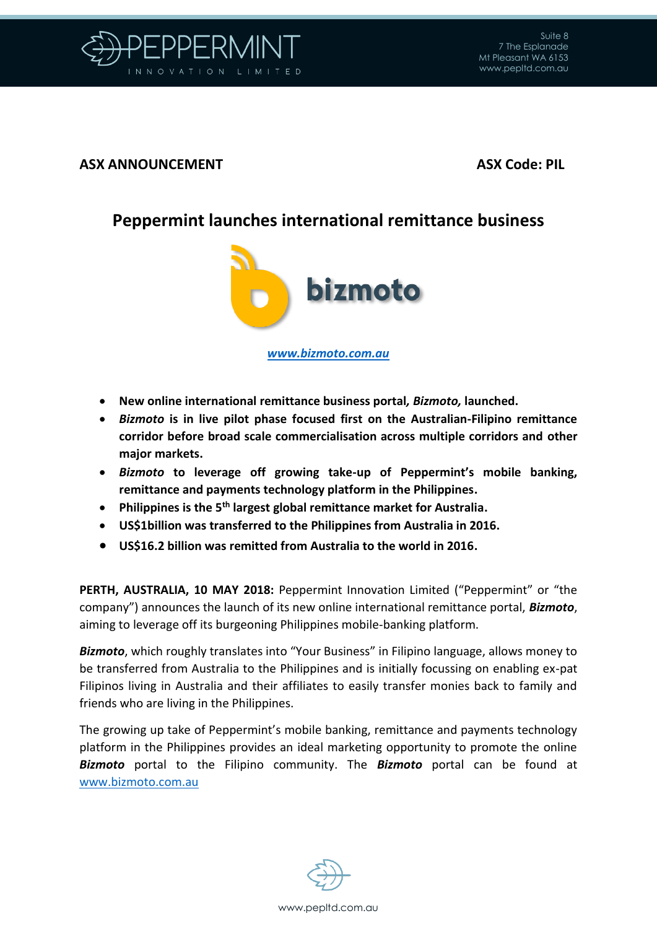

## **ASX ANNOUNCEMENT ASX Code: PIL**

## **Peppermint launches international remittance business**



*[www.bizmoto.com.au](http://www.bizmoto.com.au/)*

- **New online international remittance business portal***, Bizmoto,* **launched.**
- *Bizmoto* **is in live pilot phase focused first on the Australian-Filipino remittance corridor before broad scale commercialisation across multiple corridors and other major markets.**
- *Bizmoto* **to leverage off growing take-up of Peppermint's mobile banking, remittance and payments technology platform in the Philippines.**
- **Philippines is the 5th largest global remittance market for Australia.**
- **US\$1billion was transferred to the Philippines from Australia in 2016.**
- **US\$16.2 billion was remitted from Australia to the world in 2016.**

**PERTH, AUSTRALIA, 10 MAY 2018:** Peppermint Innovation Limited ("Peppermint" or "the company") announces the launch of its new online international remittance portal, *Bizmoto*, aiming to leverage off its burgeoning Philippines mobile-banking platform.

*Bizmoto*, which roughly translates into "Your Business" in Filipino language, allows money to be transferred from Australia to the Philippines and is initially focussing on enabling ex-pat Filipinos living in Australia and their affiliates to easily transfer monies back to family and friends who are living in the Philippines.

The growing up take of Peppermint's mobile banking, remittance and payments technology platform in the Philippines provides an ideal marketing opportunity to promote the online *Bizmoto* portal to the Filipino community. The *Bizmoto* portal can be found at [www.bizmoto.com.au](http://www.bizmoto.com.au/)

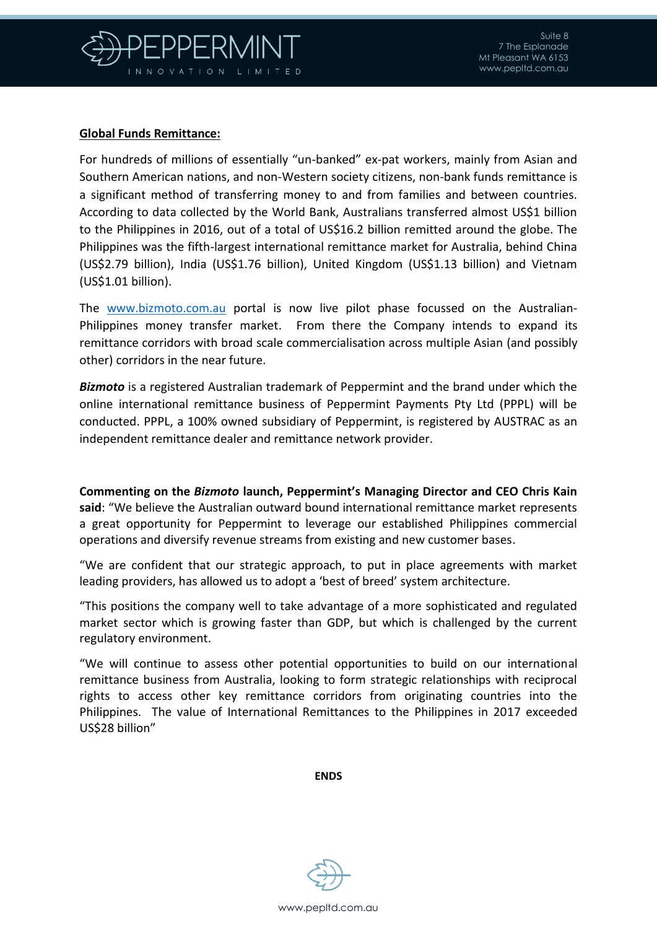

## **Global Funds Remittance:**

For hundreds of millions of essentially "un-banked" ex-pat workers, mainly from Asian and Southern American nations, and non-Western society citizens, non-bank funds remittance is a significant method of transferring money to and from families and between countries. According to data collected by the World Bank, Australians transferred almost US\$1 billion to the Philippines in 2016, out of a total of US\$16.2 billion remitted around the globe. The Philippines was the fifth-largest international remittance market for Australia, behind China (US\$2.79 billion), India (US\$1.76 billion), United Kingdom (US\$1.13 billion) and Vietnam (US\$1.01 billion).

The [www.bizmoto.com.au](http://www.bizmoto.com.au/) portal is now live pilot phase focussed on the Australian-Philippines money transfer market. From there the Company intends to expand its remittance corridors with broad scale commercialisation across multiple Asian (and possibly other) corridors in the near future.

*Bizmoto* is a registered Australian trademark of Peppermint and the brand under which the online international remittance business of Peppermint Payments Pty Ltd (PPPL) will be conducted. PPPL, a 100% owned subsidiary of Peppermint, is registered by AUSTRAC as an independent remittance dealer and remittance network provider.

**Commenting on the** *Bizmoto* **launch, Peppermint's Managing Director and CEO Chris Kain said**: "We believe the Australian outward bound international remittance market represents a great opportunity for Peppermint to leverage our established Philippines commercial operations and diversify revenue streams from existing and new customer bases.

"We are confident that our strategic approach, to put in place agreements with market leading providers, has allowed us to adopt a 'best of breed' system architecture.

"This positions the company well to take advantage of a more sophisticated and regulated market sector which is growing faster than GDP, but which is challenged by the current regulatory environment.

"We will continue to assess other potential opportunities to build on our international remittance business from Australia, looking to form strategic relationships with reciprocal rights to access other key remittance corridors from originating countries into the Philippines. The value of International Remittances to the Philippines in 2017 exceeded US\$28 billion"

**ENDS**